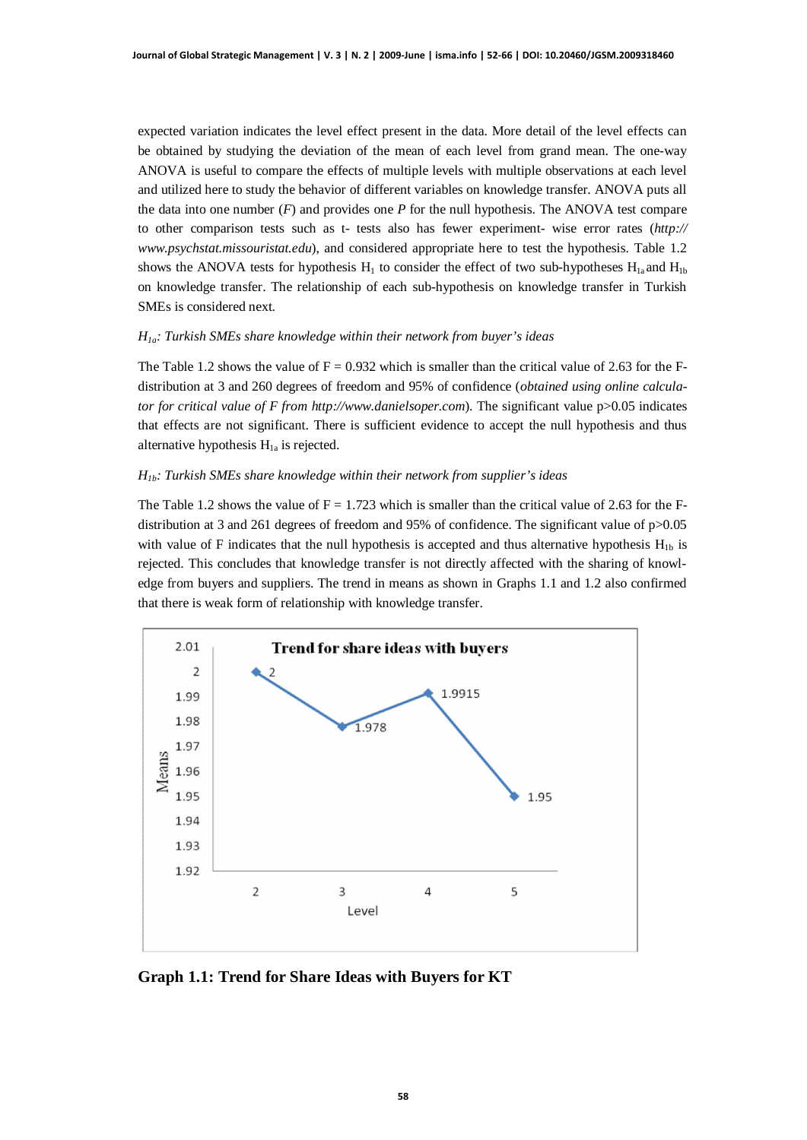expected variation indicates the level effect present in the data. More detail of the level effects can be obtained by studying the deviation of the mean of each level from grand mean. The one-way ANOVA is useful to compare the effects of multiple levels with multiple observations at each level and utilized here to study the behavior of different variables on knowledge transfer. ANOVA puts all the data into one number (*F*) and provides one *P* for the null hypothesis. The ANOVA test compare to other comparison tests such as t- tests also has fewer experiment- wise error rates (*http:// [www.psychstat.missouristat.edu](http://www.psychstat.missouristat.edu/)*), and considered appropriate here to test the hypothesis. Table 1.2 shows the ANOVA tests for hypothesis  $H_1$  to consider the effect of two sub-hypotheses  $H_{1a}$  and  $H_{1b}$ on knowledge transfer. The relationship of each sub-hypothesis on knowledge transfer in Turkish SMEs is considered next.

### *H1a: Turkish SMEs share knowledge within their network from buyer's ideas*

The Table 1.2 shows the value of  $F = 0.932$  which is smaller than the critical value of 2.63 for the Fdistribution at 3 and 260 degrees of freedom and 95% of confidence (*obtained using online calculator for critical value of F from [http://www.danielsoper.com](http://www.danielsoper.com/)*). The significant value p>0.05 indicates that effects are not significant. There is sufficient evidence to accept the null hypothesis and thus alternative hypothesis  $H<sub>1a</sub>$  is rejected.

### *H1b: Turkish SMEs share knowledge within their network from supplier's ideas*

The Table 1.2 shows the value of  $F = 1.723$  which is smaller than the critical value of 2.63 for the Fdistribution at 3 and 261 degrees of freedom and 95% of confidence. The significant value of p>0.05 with value of F indicates that the null hypothesis is accepted and thus alternative hypothesis  $H_{1b}$  is rejected. This concludes that knowledge transfer is not directly affected with the sharing of knowledge from buyers and suppliers. The trend in means as shown in Graphs 1.1 and 1.2 also confirmed that there is weak form of relationship with knowledge transfer.



**Graph 1.1: Trend for Share Ideas with Buyers for KT**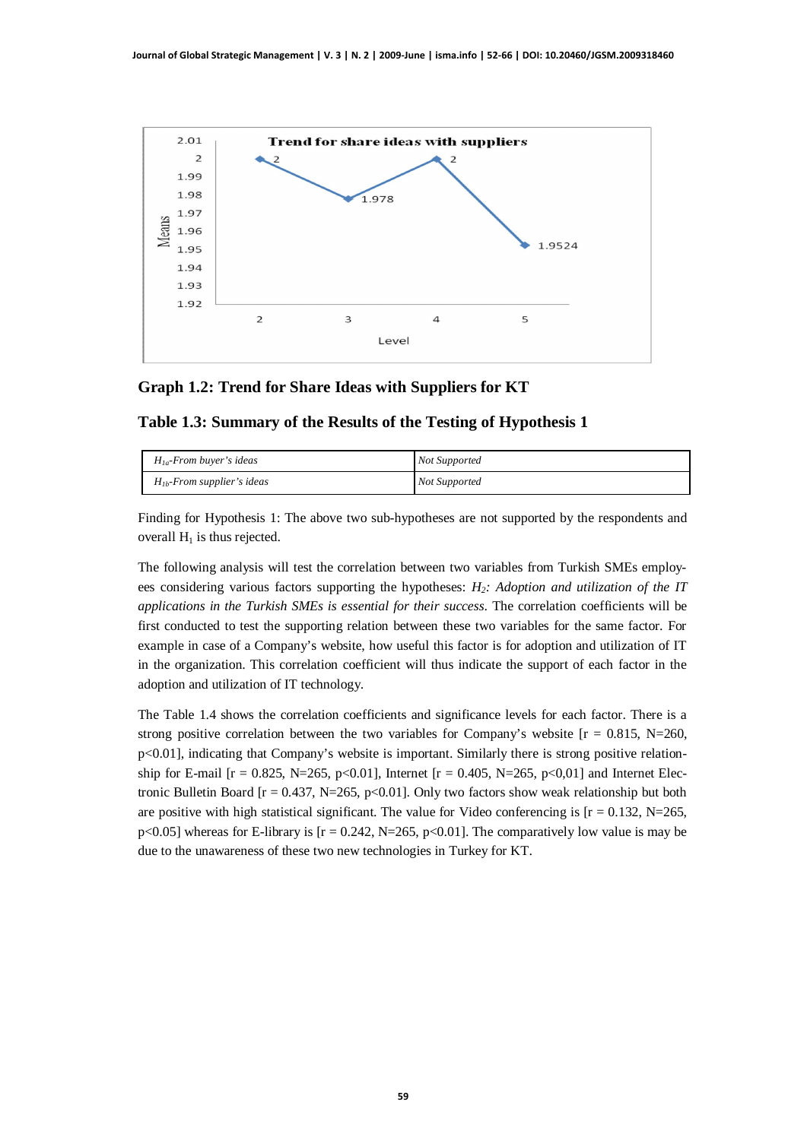

## **Graph 1.2: Trend for Share Ideas with Suppliers for KT**

## **Table 1.3: Summary of the Results of the Testing of Hypothesis 1**

| $H_{1a}$ -From buyer's ideas    | <b>Not Supported</b> |
|---------------------------------|----------------------|
| $H_{1b}$ -From supplier's ideas | <b>Not Supported</b> |

Finding for Hypothesis 1: The above two sub-hypotheses are not supported by the respondents and overall  $H_1$  is thus rejected.

The following analysis will test the correlation between two variables from Turkish SMEs employees considering various factors supporting the hypotheses: *H2: Adoption and utilization of the IT applications in the Turkish SMEs is essential for their success*. The correlation coefficients will be first conducted to test the supporting relation between these two variables for the same factor. For example in case of a Company's website, how useful this factor is for adoption and utilization of IT in the organization. This correlation coefficient will thus indicate the support of each factor in the adoption and utilization of IT technology.

The Table 1.4 shows the correlation coefficients and significance levels for each factor. There is a strong positive correlation between the two variables for Company's website  $[r = 0.815, N=260,$ p<0.01], indicating that Company's website is important. Similarly there is strong positive relationship for E-mail  $[r = 0.825, N=265, p<0.01]$ , Internet  $[r = 0.405, N=265, p<0.01]$  and Internet Electronic Bulletin Board  $[r = 0.437, N = 265, p < 0.01]$ . Only two factors show weak relationship but both are positive with high statistical significant. The value for Video conferencing is  $[r = 0.132, N=265,$  $p<0.05$ ] whereas for E-library is  $[r = 0.242, N=265, p<0.01]$ . The comparatively low value is may be due to the unawareness of these two new technologies in Turkey for KT.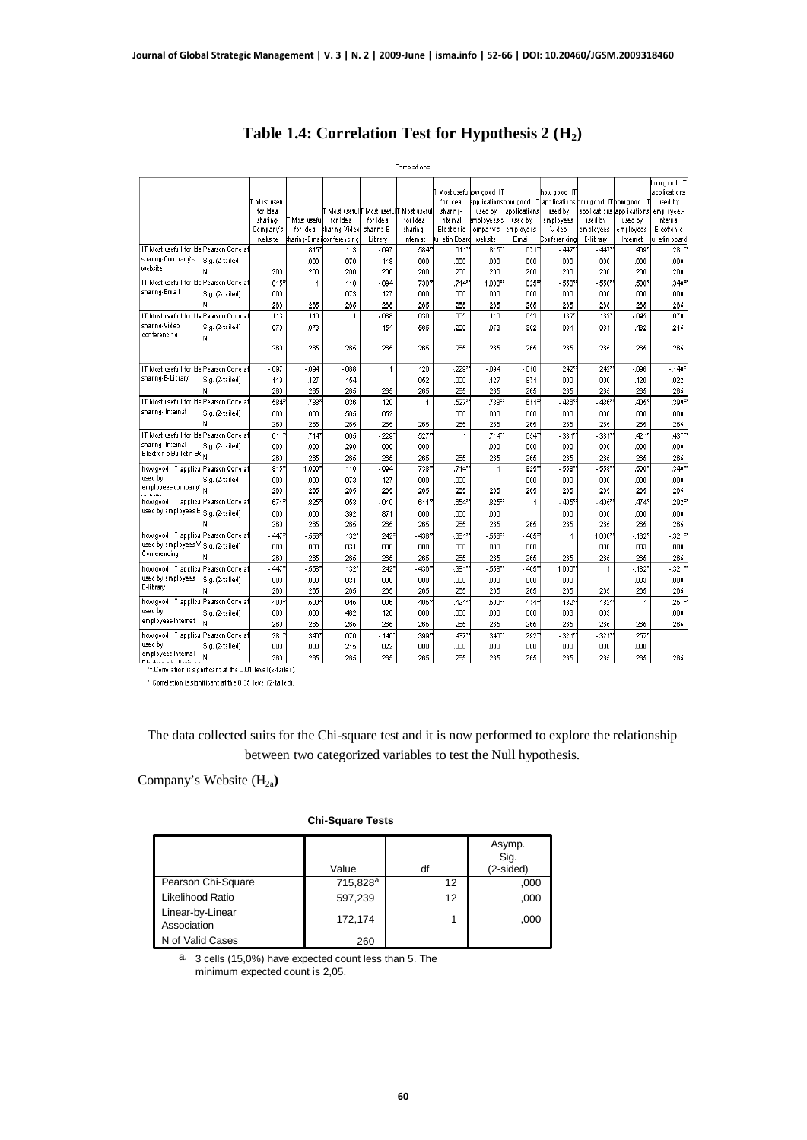|                                                 |                 |             |                    |                           |                             | Correlations     |                |                        |                                       |                     |                    |                           |                   |
|-------------------------------------------------|-----------------|-------------|--------------------|---------------------------|-----------------------------|------------------|----------------|------------------------|---------------------------------------|---------------------|--------------------|---------------------------|-------------------|
|                                                 |                 |             |                    |                           |                             |                  |                |                        |                                       |                     |                    |                           | howgcod T         |
|                                                 |                 |             |                    |                           |                             |                  |                | Most usefullow cood IT |                                       | how cood IT         |                    |                           | acolications      |
|                                                 |                 | Most useful |                    |                           |                             |                  | for loeal      |                        | applicationshow good IT applications. |                     | ow good IThow good |                           | used by           |
|                                                 |                 | for Idea    |                    |                           | Most usefull! Most usefull! | Most useful      | sharin c-      | used by                | applications                          | used by             |                    | applications applications | employees         |
|                                                 |                 | sharing-    | Most usefull       | for Idea                  | for Idea                    | for Idea         | nternal        | mployees-b             | used by                               | amployees           | used by            | use c by                  | Internal          |
|                                                 |                 | Company's   | for deal           | harng-Video               | sharing-E-                  | sharing-         | Electronic     | ompanys                | employees-                            | Vdeo                | employees          | employees-                | Electronic        |
|                                                 |                 | website.    |                    | kharing-Emailconferencing | Library                     | Internat         | kul etin Board | website                | Email                                 | Conferencing        | E-library          | Internet                  | lul elin board    |
| IT Most usefull for Ide Pearson Correlati       |                 | 1           | 815'               | 1'3                       | $-097$                      | 584"             | $.611**$       | $8.5^{\circ}$          | $671$ <sup>2</sup>                    | $-447'$             | $.447*$            | 409*                      | 281"              |
| sharing-Company's<br>website                    | Sig. (2-tailed) |             | .000               | 070                       | 1.9                         | 000              | .opc           | 000                    | 000                                   | 000                 | .000               | .000                      | .000              |
|                                                 | N               | 260         | 260                | 260                       | 260                         | 260              | 23C            | 260                    | 260                                   | 260                 | 230                | 260                       | 260               |
| IT Most usefull for Ide Pearson Correlat        |                 | .815*       | 1                  | $A^*0$                    | $-094$                      | 738*             | 7120           | 1,000*                 | 825*                                  | -558°               | $-555$ *           | 500*                      | 340*              |
| shar ng-Email                                   | Sig. (2-tailed) | .000        |                    | 073                       | 127                         | 000              | ODC.           | 000                    | 000                                   | 000                 | .ODC               | ,000                      | ,000              |
|                                                 | N               | 260         | 265                | 265                       | 265                         | 265              | 25€            | 265                    | 265                                   | 265                 | 255                | 265                       | 265               |
| IT Most usefull for Ide Pearson Correlati       |                 | .113        | .110               | 1                         | $-088$                      | 036              | .035           | 1'0                    | 053                                   | 132'                | .132               | .045                      | .076              |
| sharing-Video                                   | Sig. (2-tailed) | .073        | .073               |                           | 154                         | 565              | .29C           | 073                    | 392                                   | 031                 | .031               | .462                      | 215               |
| ecnferencing                                    | N               |             |                    |                           |                             |                  |                |                        |                                       |                     |                    |                           |                   |
|                                                 |                 | 260         | 285                | 265                       | 265                         | 265              | 23€            | 265                    | 265                                   | 265                 | 25€                | 265                       | 265               |
|                                                 |                 |             |                    |                           |                             |                  |                |                        |                                       |                     |                    |                           |                   |
| IT Most usefull for Ide Pearson Correlat        |                 | .097        | .094               | $-088$                    | 1                           | 120              | .228           | $-094$                 | .010                                  | 242*                | .242*              | .096                      | $.140*$           |
| sharing-E-Library                               | Sig. (2-tailed) | .149        | .127               | .154                      |                             | 052              | .ODC           | .127                   | 871                                   | 000                 | .ODC               | .120                      | .022              |
|                                                 | N               | 260         | 265                | 265                       | 265                         | 265              | 235            | 265                    | 265                                   | 265                 | 25€                | 265                       | 265               |
| IT Most usefull for Ide Pearson Correlat        |                 | .584*       | 739                | 038                       | 120                         | 1                | .527*          | 738                    | 611°                                  | $-436$              | $-435$             | 405*                      | 399 <sup>27</sup> |
| sharing-Internati                               | Sig. (2-tailed) | ,003        | 000                | 565                       | 052                         |                  | .ODC           | 000                    | 000                                   | 000                 | .ODC               | .000                      | ,000              |
|                                                 | N               | 260         | 265                | 265                       | 265                         | 265              | 23€            | 265                    | 265                                   | 265                 | 23€                | 265                       | 265               |
| IT Most usefull for Ide Pearson Correlat        |                 | .611        | 714                | 065                       | $-229$                      | 527*             | $\overline{1}$ | 7'4'                   | 654                                   | $.381$ <sup>*</sup> | $-331^{\circ}$     | 4217                      | 43777             |
| sharing-Internal                                | Sig. (2-tailed) | ,003        | .000               | 290                       | 000                         | 000              |                | 000                    | 000                                   | 000                 | .ODC               | ,000                      | ,000              |
| Electron c Bulletin Bo <sub>N</sub>             |                 | 260         | 265                | 265                       | 265                         | 265              | 23E            | 265                    | 265                                   | 265                 | 236                | 265                       | 265               |
|                                                 |                 | $.845*$     | 1.000 <sup>2</sup> | 4'0                       | .094                        | 738 <sup>c</sup> | 712            | 1                      | 825                                   | 558                 | $-555*$            | 500*                      | $340^{22}$        |
| how good IT applica Pearson Corelat<br>use c by |                 |             |                    |                           |                             |                  |                |                        |                                       |                     |                    |                           |                   |
| employees company'                              | Sig. (2-tailed) | .003        | .000               | 073                       | 127                         | 000              | .ODC           |                        | 000                                   | 000                 | .ODC               | .000                      | .000              |
|                                                 |                 | 260         | 265                | 265                       | 265                         | 265              | 235            | 265                    | 265                                   | 265                 | 235                | 265                       | 265               |
| how good IT applica Pearson Corelat             |                 | .671'       | 825                | 053                       | $0^{\prime}0$               | 611*             | 654            | 825                    | $\overline{1}$                        | $-405^{\circ}$      | $-405$             | 474*                      | 292"              |
| used by employees E Sig. (2-tailed)             |                 | .003        | ,000               | 392                       | 871                         | 000              | .ODC           | 000                    |                                       | 000                 | .ODC               | .000                      | .000              |
|                                                 | Ν               | 260         | 265                | 265                       | 265                         | 265              | 236            | 265                    | 265                                   | 265                 | 236                | 265                       | 265               |
| how good IT applica Pearson Corelat             |                 | .447        | $-558$             | 132                       | 242                         | 436*             | $-334^*$       | $-558$                 | $-405$                                | 1                   | 1.000*             | $.182*$                   | $-321^{**}$       |
| used by employees V Sig. (2-tailed)             |                 | .003        | .000               | 031                       | 000                         | 000              | .ODC           | ,000                   | 000                                   |                     | .ODC               | .003                      | ,000              |
| Conferencing                                    | N               | 260         | 265                | 265                       | 265                         | 265              | 235            | 265                    | 265                                   | 265                 | 25€                | 265                       | 265               |
| how good IT applies Pearson Corelat             |                 | .447        | .558               | .132 <sup>2</sup>         | 242                         | 436              | $-331^{\circ}$ | $-558$                 | $-405$                                | 1000                | $\overline{1}$     | $.182$ <sup>*</sup>       | $-321^{**}$       |
| used by employees.                              | Sig. (2-tailed) | .00         | .000               | 031                       | 000                         | 000              | .ODC           | 000                    | 000                                   | 000                 |                    | .003                      | ,000              |
| E-library                                       | Ν               | 260         | 265                | 265                       | 265                         | 265              | 25f            | 265                    | 265                                   | 265                 | 256                | 265                       | 265               |
| how good IT applica Pearson Corelat             |                 | 409         | 500                | $-045$                    | $-096$                      | 405*             | 421*           | 500*                   | 474                                   | $-182$ <sup>*</sup> | $-132"$            | é                         | 257"              |
| usec by                                         | Sig. (2-tailed) | .003        | 000                | 462                       | 120                         | 000              | .ooc           | 000                    | 000                                   | 003                 | .003               |                           | $000 -$           |
| employees Internet                              | N               |             |                    |                           |                             |                  |                |                        |                                       |                     |                    |                           |                   |
|                                                 |                 | 260         | 265                | 265                       | 265                         | 265              | 235            | 265                    | 265                                   | 265                 | 25€                | 265                       | 265               |
| how good IT appliea Pearson Corelat             |                 | 281*        | 340°               | 076                       | $-140^{\circ}$              | 399%             | 437*           | 340*                   | 292*                                  | $-3249$             | $-324^{n}$         | 257                       | $\mathbf{f}$      |
| usec by<br>employees Internal                   | Sig. (2-tailed) | .003        | 000                | 215                       | 022                         | 000              | .ODC           | 000                    | 000                                   | 000                 | .ODC               | .000                      |                   |
| <b>PTC Access Light CAS</b>                     | N               | 260         | 265                | 265                       | 265                         | 265              | 235            | 265                    | 265                                   | 265                 | 235                | 265                       | 265               |

# **Table 1.4: Correlation Test for Hypothesis 2 (H2)**

\*\*.Correlation is significant at the 0.01 level (2-tailed). \*. Correlation is significant at the 0.05 level (2-tailed).

The data collected suits for the Chi-square test and it is now performed to explore the relationship between two categorized variables to test the Null hypothesis.

Company's Website (H<sub>2a</sub>)

#### **Chi-Square Tests**

|                                 | Value                | df | Asymp.<br>Sig.<br>(2-sided) |
|---------------------------------|----------------------|----|-----------------------------|
| Pearson Chi-Square              | 715,828 <sup>a</sup> | 12 | ,000                        |
| Likelihood Ratio                | 597,239              | 12 | ,000                        |
| Linear-by-Linear<br>Association | 172.174              | 1  | ,000                        |
| N of Valid Cases                | 260                  |    |                             |

3 cells (15,0%) have expected count less than 5. The a. minimum expected count is 2,05.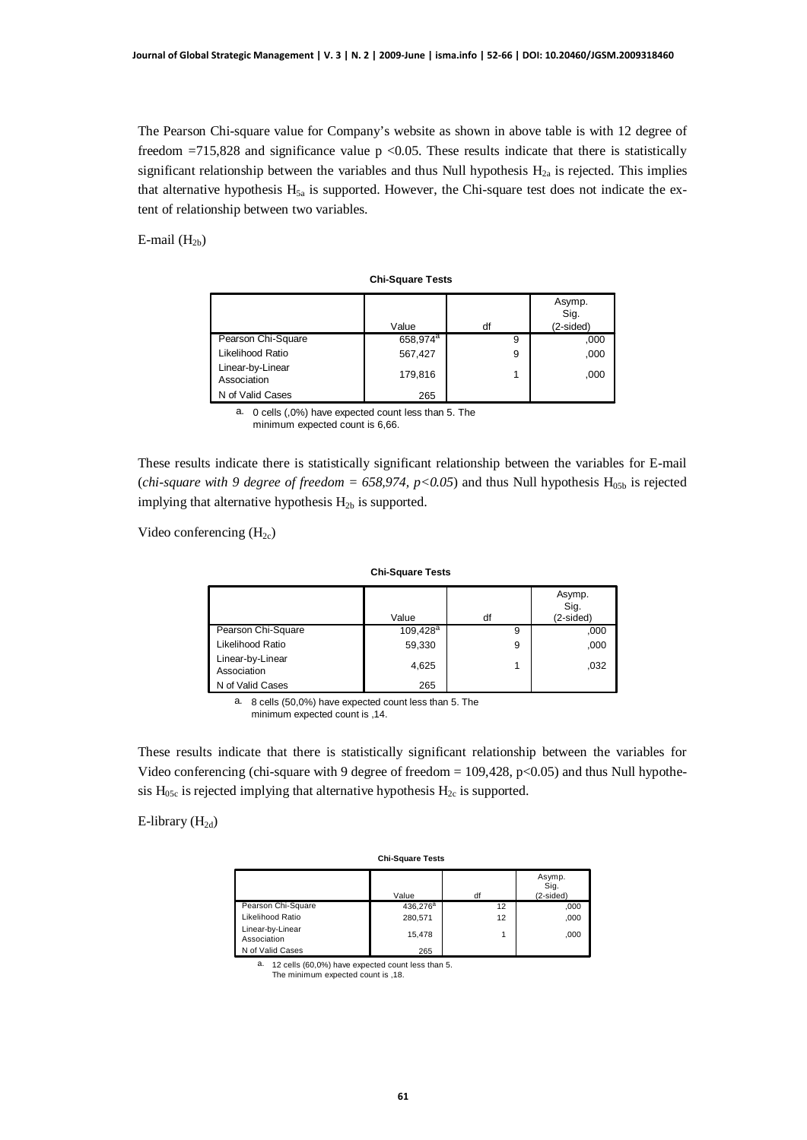The Pearson Chi-square value for Company's website as shown in above table is with 12 degree of freedom  $=715,828$  and significance value p <0.05. These results indicate that there is statistically significant relationship between the variables and thus Null hypothesis  $H<sub>2a</sub>$  is rejected. This implies that alternative hypothesis  $H_{5a}$  is supported. However, the Chi-square test does not indicate the extent of relationship between two variables.

E-mail  $(H_{2b})$ 

| <b>Chi-Square Tests</b>         |                      |    |                               |  |  |  |
|---------------------------------|----------------------|----|-------------------------------|--|--|--|
|                                 | Value                | df | Asymp.<br>Sig.<br>$(2-sided)$ |  |  |  |
| Pearson Chi-Square              | 658,974 <sup>a</sup> | 9  | ,000                          |  |  |  |
| Likelihood Ratio                | 567,427              | 9  | ,000                          |  |  |  |
| Linear-by-Linear<br>Association | 179,816              | 1  | ,000                          |  |  |  |
| N of Valid Cases                | 265                  |    |                               |  |  |  |

0 cells (,0%) have expected count less than 5. The minimum expected count is 6,66. a.

These results indicate there is statistically significant relationship between the variables for E-mail (*chi-square with 9 degree of freedom* = 658,974,  $p$ <0.05) and thus Null hypothesis  $H<sub>05b</sub>$  is rejected implying that alternative hypothesis  $H_{2b}$  is supported.

Video conferencing  $(H_{2c})$ 

| <b>Chi-Square Tests</b>         |             |    |                             |  |  |
|---------------------------------|-------------|----|-----------------------------|--|--|
|                                 | Value       | df | Asymp.<br>Sig.<br>(2-sided) |  |  |
| Pearson Chi-Square              | $109,428^a$ | 9  | ,000                        |  |  |
| Likelihood Ratio                | 59,330      | 9  | ,000                        |  |  |
| Linear-by-Linear<br>Association | 4,625       | 1  | ,032                        |  |  |
| N of Valid Cases                | 265         |    |                             |  |  |

a. 8 cells (50,0%) have expected count less than 5. The minimum expected count is ,14.

These results indicate that there is statistically significant relationship between the variables for Video conferencing (chi-square with 9 degree of freedom  $= 109,428, p<0.05$ ) and thus Null hypothesis  $H_{05c}$  is rejected implying that alternative hypothesis  $H_{2c}$  is supported.

## E-library  $(H_{2d})$

| <b>Chi-Square Tests</b>         |                      |    |                               |  |  |
|---------------------------------|----------------------|----|-------------------------------|--|--|
|                                 | Value                | df | Asymp.<br>Sig.<br>$(2-sided)$ |  |  |
| Pearson Chi-Square              | 436,276 <sup>a</sup> | 12 | ,000                          |  |  |
| Likelihood Ratio                | 280.571              | 12 | ,000                          |  |  |
| Linear-by-Linear<br>Association | 15.478               |    | ,000                          |  |  |
| N of Valid Cases                | 265                  |    |                               |  |  |

a. 12 cells (60,0%) have expected count less than 5.

The minimum expected count is ,18.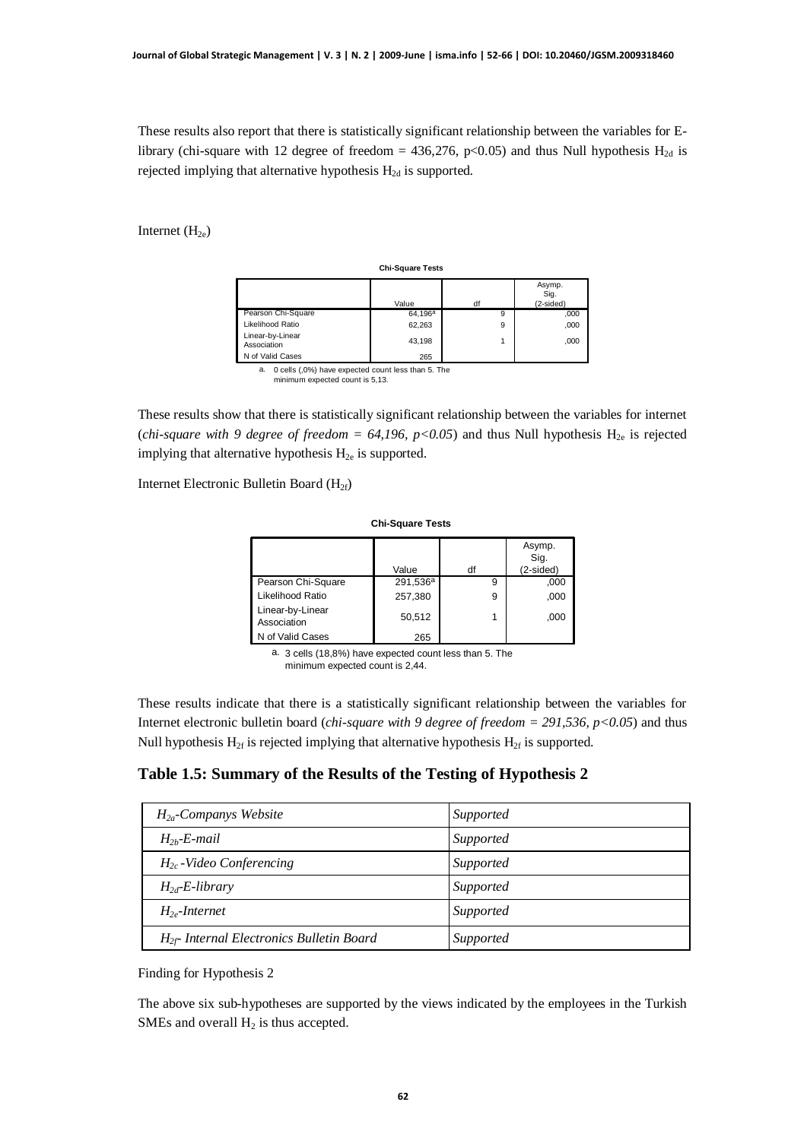These results also report that there is statistically significant relationship between the variables for Elibrary (chi-square with 12 degree of freedom = 436,276, p<0.05) and thus Null hypothesis  $H_{2d}$  is rejected implying that alternative hypothesis  $H_{2d}$  is supported.

Internet  $(H_{2e})$ 

| <b>Chi-Square Tests</b>                                                                                                                                                                  |            |    |                             |  |  |
|------------------------------------------------------------------------------------------------------------------------------------------------------------------------------------------|------------|----|-----------------------------|--|--|
|                                                                                                                                                                                          | Value      | df | Asymp.<br>Sig.<br>(2-sided) |  |  |
| Pearson Chi-Square                                                                                                                                                                       | $64,196^a$ | 9  | ,000                        |  |  |
| Likelihood Ratio                                                                                                                                                                         | 62,263     | 9  | ,000                        |  |  |
| Linear-by-Linear<br>Association                                                                                                                                                          | 43,198     |    | ,000                        |  |  |
| N of Valid Cases                                                                                                                                                                         | 265        |    |                             |  |  |
| $\sigma$ , $\sigma$ , $\sigma$ , $\sigma$ , $\sigma$ , $\sigma$ , $\sigma$ , $\sigma$ , $\sigma$ , $\sigma$ , $\sigma$ , $\sigma$ , $\sigma$ , $\sigma$ , $\sigma$ , $\sigma$ , $\sigma$ |            |    |                             |  |  |

a. 0 cells (,0%) have expected count less than 5. The minimum expected count is 5,13.

These results show that there is statistically significant relationship between the variables for internet (*chi-square with 9 degree of freedom = 64,196, p<0.05*) and thus Null hypothesis  $H_{2e}$  is rejected implying that alternative hypothesis  $H_{2e}$  is supported.

Internet Electronic Bulletin Board (H2f)

| <b>Chi-Square Tests</b>         |                      |    |                             |  |  |
|---------------------------------|----------------------|----|-----------------------------|--|--|
|                                 | Value                | df | Asymp.<br>Sig.<br>(2-sided) |  |  |
| Pearson Chi-Square              | 291,536 <sup>a</sup> | 9  | ,000                        |  |  |
| Likelihood Ratio                | 257,380              | 9  | ,000                        |  |  |
| Linear-by-Linear<br>Association | 50,512               |    | .000                        |  |  |
| N of Valid Cases                | 265                  |    |                             |  |  |

3 cells (18,8%) have expected count less than 5. The a. minimum expected count is 2,44.

These results indicate that there is a statistically significant relationship between the variables for Internet electronic bulletin board (*chi-square with 9 degree of freedom = 291,536, p<0.05*) and thus Null hypothesis  $H_{2f}$  is rejected implying that alternative hypothesis  $H_{2f}$  is supported.

**Table 1.5: Summary of the Results of the Testing of Hypothesis 2**

| $H_{2a}$ -Companys Website                     | Supported |
|------------------------------------------------|-----------|
| $H_{2h}$ -E-mail                               | Supported |
| $H_{2c}$ -Video Conferencing                   | Supported |
| $H_{2d}$ -E-library                            | Supported |
| $H2$ -Internet                                 | Supported |
| $H_{2f}$ - Internal Electronics Bulletin Board | Supported |

Finding for Hypothesis 2

The above six sub-hypotheses are supported by the views indicated by the employees in the Turkish SMEs and overall  $H_2$  is thus accepted.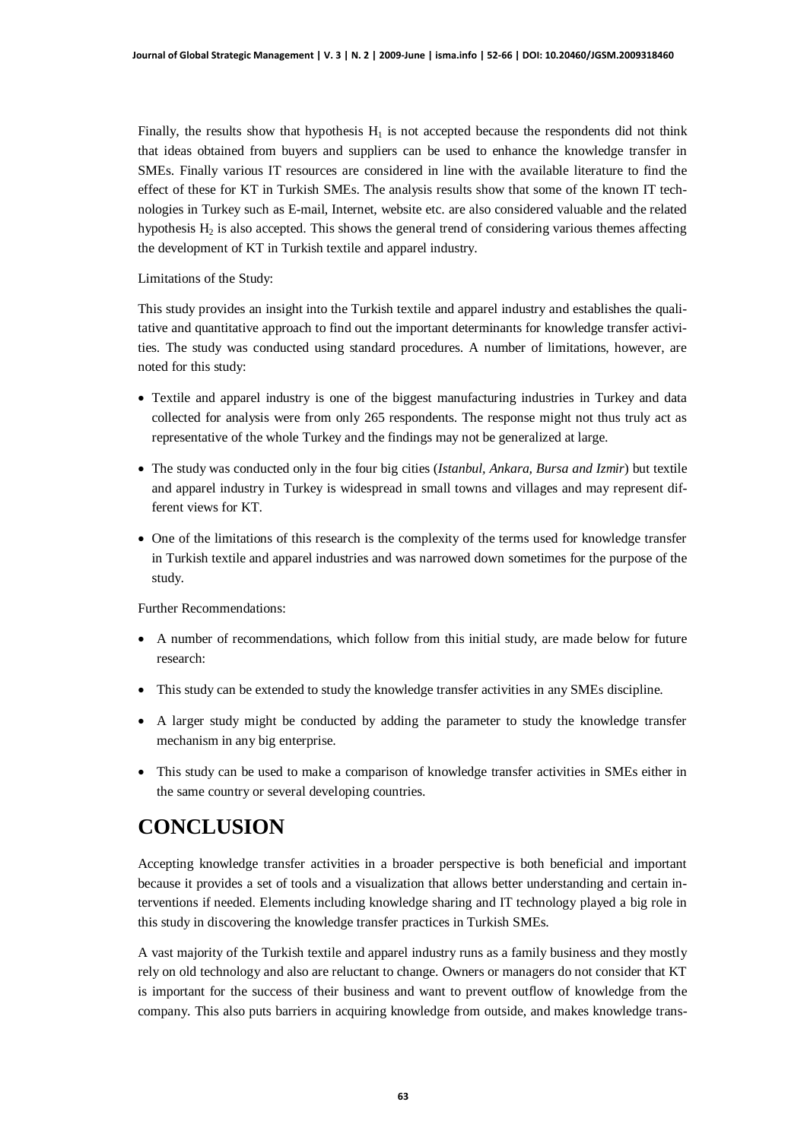Finally, the results show that hypothesis  $H_1$  is not accepted because the respondents did not think that ideas obtained from buyers and suppliers can be used to enhance the knowledge transfer in SMEs. Finally various IT resources are considered in line with the available literature to find the effect of these for KT in Turkish SMEs. The analysis results show that some of the known IT technologies in Turkey such as E-mail, Internet, website etc. are also considered valuable and the related hypothesis  $H_2$  is also accepted. This shows the general trend of considering various themes affecting the development of KT in Turkish textile and apparel industry.

Limitations of the Study:

This study provides an insight into the Turkish textile and apparel industry and establishes the qualitative and quantitative approach to find out the important determinants for knowledge transfer activities. The study was conducted using standard procedures. A number of limitations, however, are noted for this study:

- Textile and apparel industry is one of the biggest manufacturing industries in Turkey and data collected for analysis were from only 265 respondents. The response might not thus truly act as representative of the whole Turkey and the findings may not be generalized at large.
- x The study was conducted only in the four big cities (*Istanbul, Ankara, Bursa and Izmir*) but textile and apparel industry in Turkey is widespread in small towns and villages and may represent different views for KT.
- One of the limitations of this research is the complexity of the terms used for knowledge transfer in Turkish textile and apparel industries and was narrowed down sometimes for the purpose of the study.

Further Recommendations:

- A number of recommendations, which follow from this initial study, are made below for future research:
- x This study can be extended to study the knowledge transfer activities in any SMEs discipline.
- A larger study might be conducted by adding the parameter to study the knowledge transfer mechanism in any big enterprise.
- This study can be used to make a comparison of knowledge transfer activities in SMEs either in the same country or several developing countries.

## **CONCLUSION**

Accepting knowledge transfer activities in a broader perspective is both beneficial and important because it provides a set of tools and a visualization that allows better understanding and certain interventions if needed. Elements including knowledge sharing and IT technology played a big role in this study in discovering the knowledge transfer practices in Turkish SMEs.

A vast majority of the Turkish textile and apparel industry runs as a family business and they mostly rely on old technology and also are reluctant to change. Owners or managers do not consider that KT is important for the success of their business and want to prevent outflow of knowledge from the company. This also puts barriers in acquiring knowledge from outside, and makes knowledge trans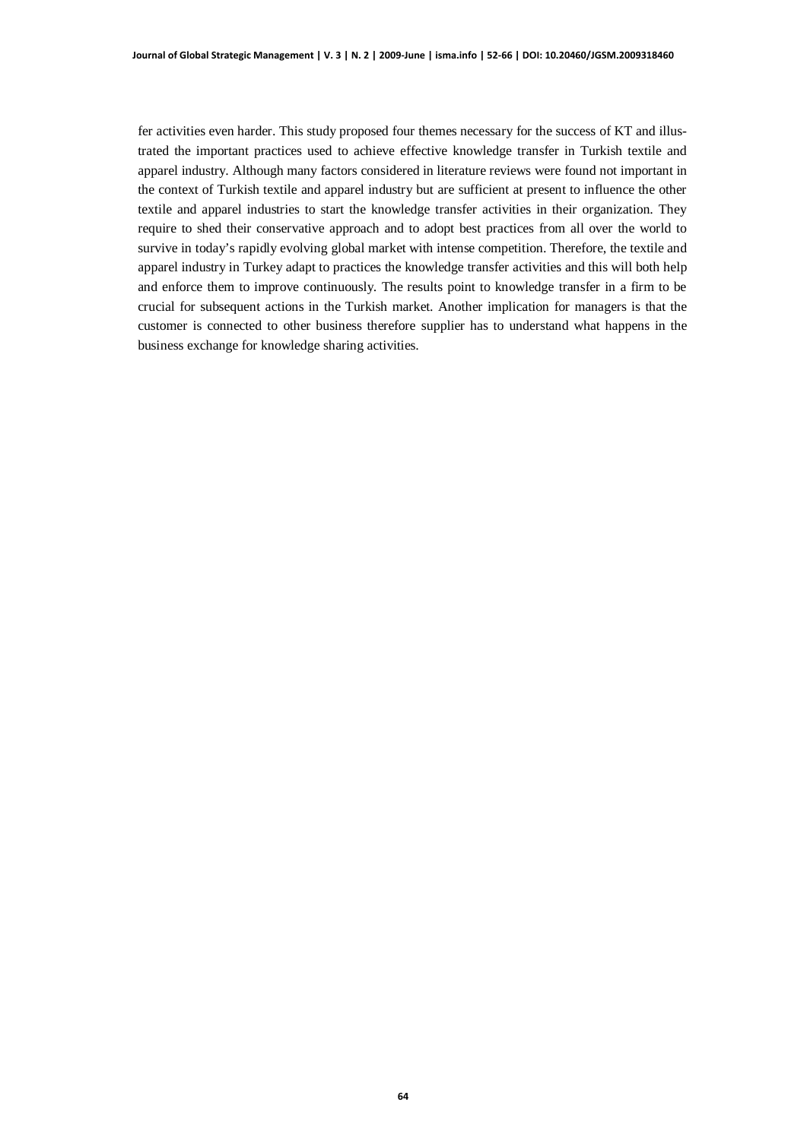fer activities even harder. This study proposed four themes necessary for the success of KT and illustrated the important practices used to achieve effective knowledge transfer in Turkish textile and apparel industry. Although many factors considered in literature reviews were found not important in the context of Turkish textile and apparel industry but are sufficient at present to influence the other textile and apparel industries to start the knowledge transfer activities in their organization. They require to shed their conservative approach and to adopt best practices from all over the world to survive in today's rapidly evolving global market with intense competition. Therefore, the textile and apparel industry in Turkey adapt to practices the knowledge transfer activities and this will both help and enforce them to improve continuously. The results point to knowledge transfer in a firm to be crucial for subsequent actions in the Turkish market. Another implication for managers is that the customer is connected to other business therefore supplier has to understand what happens in the business exchange for knowledge sharing activities.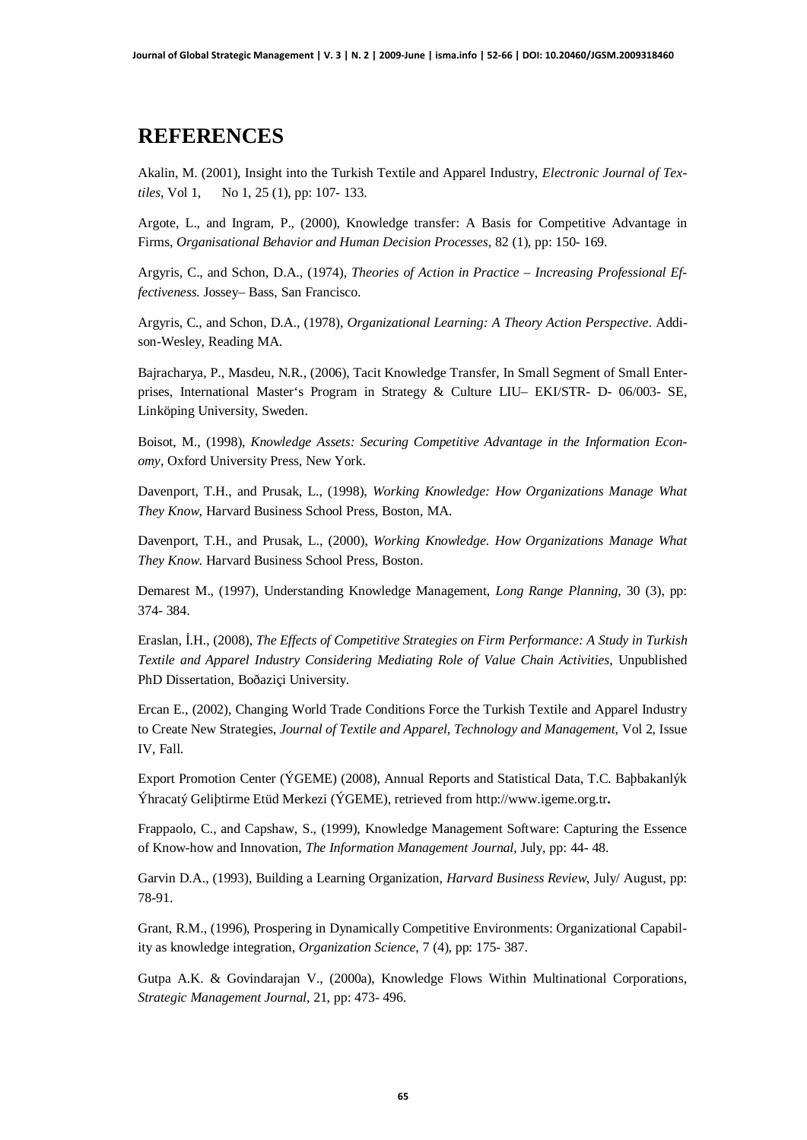# **REFERENCES**

Akalin, M. (2001), Insight into the Turkish Textile and Apparel Industry, *Electronic Journal of Textiles*, Vol 1, No 1, 25 (1), pp: 107- 133.

Argote, L., and Ingram, P., (2000), Knowledge transfer: A Basis for Competitive Advantage in Firms, *Organisational Behavior and Human Decision Processes*, 82 (1), pp: 150- 169.

Argyris, C., and Schon, D.A., (1974), *Theories of Action in Practice – Increasing Professional Effectiveness.* Jossey– Bass, San Francisco.

Argyris, C., and Schon, D.A., (1978), *Organizational Learning: A Theory Action Perspective*. Addison-Wesley, Reading MA.

Bajracharya, P., Masdeu, N.R., (2006), Tacit Knowledge Transfer, In Small Segment of Small Enterprises, International Master's Program in Strategy & Culture LIU– EKI/STR- D- 06/003- SE, Linköping University, Sweden.

Boisot, M., (1998), *Knowledge Assets: Securing Competitive Advantage in the Information Economy*, Oxford University Press, New York.

Davenport, T.H., and Prusak, L., (1998), *Working Knowledge: How Organizations Manage What They Know*, Harvard Business School Press, Boston, MA.

Davenport, T.H., and Prusak, L., (2000), *Working Knowledge. How Organizations Manage What They Know*. Harvard Business School Press, Boston.

Demarest M., (1997), Understanding Knowledge Management, *Long Range Planning*, 30 (3), pp: 374- 384.

Eraslan, İ.H., (2008), *The Effects of Competitive Strategies on Firm Performance: A Study in Turkish Textile and Apparel Industry Considering Mediating Role of Value Chain Activities*, Unpublished PhD Dissertation, Boðaziçi University.

Ercan E., (2002), Changing World Trade Conditions Force the Turkish Textile and Apparel Industry to Create New Strategies, *Journal of Textile and Apparel, Technology and Management*, Vol 2, Issue IV, Fall.

Export Promotion Center (ÝGEME) (2008), Annual Reports and Statistical Data, T.C. Baþbakanlýk Ýhracatý Geliþtirme Etüd Merkezi (ÝGEME), retrieved from http://www.igeme.org.tr**.**

Frappaolo, C., and Capshaw, S., (1999), Knowledge Management Software: Capturing the Essence of Know-how and Innovation, *The Information Management Journal,* July, pp: 44- 48.

Garvin D.A., (1993), Building a Learning Organization, *Harvard Business Review*, July/ August, pp: 78-91.

Grant, R.M., (1996), Prospering in Dynamically Competitive Environments: Organizational Capability as knowledge integration, *Organization Science*, 7 (4), pp: 175- 387.

Gutpa A.K. & Govindarajan V., (2000a), Knowledge Flows Within Multinational Corporations, *Strategic Management Journal*, 21, pp: 473- 496.